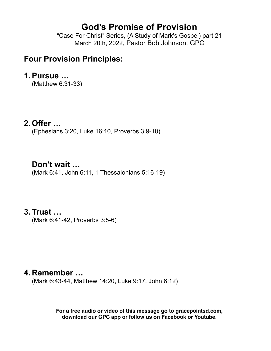# **God's Promise of Provision**

"Case For Christ" Series, (A Study of Mark's Gospel) part 21 March 20th, 2022, Pastor Bob Johnson, GPC

## **Four Provision Principles:**

#### **1.Pursue …**

(Matthew 6:31-33)

### **2. Offer …**

(Ephesians 3:20, Luke 16:10, Proverbs 3:9-10)

## **Don't wait …**

(Mark 6:41, John 6:11, 1 Thessalonians 5:16-19)

## **3. Trust …**

(Mark 6:41-42, Proverbs 3:5-6)

## **4. Remember …**

(Mark 6:43-44, Matthew 14:20, Luke 9:17, John 6:12)

**For a free audio or video of this message go to gracepointsd.com, download our GPC app or follow us on Facebook or Youtube.**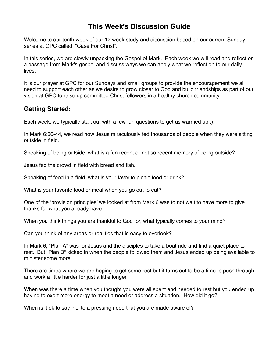### **This Week's Discussion Guide**

Welcome to our tenth week of our 12 week study and discussion based on our current Sunday series at GPC called, "Case For Christ".

In this series, we are slowly unpacking the Gospel of Mark. Each week we will read and reflect on a passage from Mark's gospel and discuss ways we can apply what we reflect on to our daily lives.

It is our prayer at GPC for our Sundays and small groups to provide the encouragement we all need to support each other as we desire to grow closer to God and build friendships as part of our vision at GPC to raise up committed Christ followers in a healthy church community.

#### **Getting Started:**

Each week, we typically start out with a few fun questions to get us warmed up :).

In Mark 6:30-44, we read how Jesus miraculously fed thousands of people when they were sitting outside in field.

Speaking of being outside, what is a fun recent or not so recent memory of being outside?

Jesus fed the crowd in field with bread and fish.

Speaking of food in a field, what is your favorite picnic food or drink?

What is your favorite food or meal when you go out to eat?

One of the 'provision principles' we looked at from Mark 6 was to not wait to have more to give thanks for what you already have.

When you think things you are thankful to God for, what typically comes to your mind?

Can you think of any areas or realities that is easy to overlook?

In Mark 6, "Plan A" was for Jesus and the disciples to take a boat ride and find a quiet place to rest. But "Plan B" kicked in when the people followed them and Jesus ended up being available to minister some more.

There are times where we are hoping to get some rest but it turns out to be a time to push through and work a little harder for just a little longer.

When was there a time when you thought you were all spent and needed to rest but you ended up having to exert more energy to meet a need or address a situation. How did it go?

When is it ok to say 'no' to a pressing need that you are made aware of?